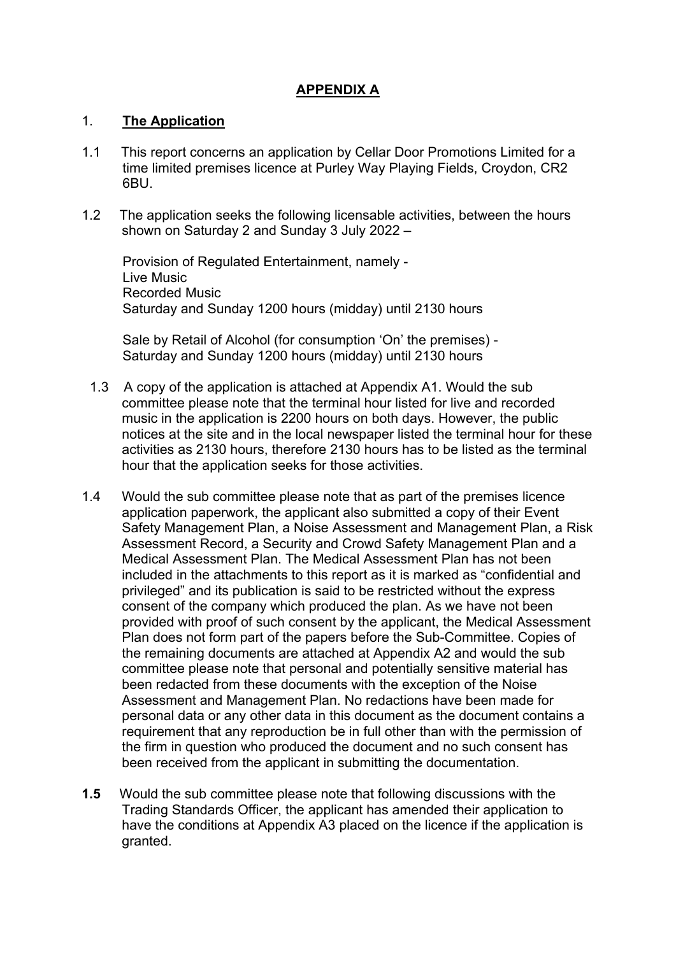# **APPENDIX A**

### 1. **The Application**

- 1.1 This report concerns an application by Cellar Door Promotions Limited for a time limited premises licence at Purley Way Playing Fields, Croydon, CR2 6BU.
- 1.2 The application seeks the following licensable activities, between the hours shown on Saturday 2 and Sunday 3 July 2022 –

Provision of Regulated Entertainment, namely - Live Music Recorded Music Saturday and Sunday 1200 hours (midday) until 2130 hours

Sale by Retail of Alcohol (for consumption 'On' the premises) - Saturday and Sunday 1200 hours (midday) until 2130 hours

- 1.3 A copy of the application is attached at Appendix A1. Would the sub committee please note that the terminal hour listed for live and recorded music in the application is 2200 hours on both days. However, the public notices at the site and in the local newspaper listed the terminal hour for these activities as 2130 hours, therefore 2130 hours has to be listed as the terminal hour that the application seeks for those activities.
- 1.4 Would the sub committee please note that as part of the premises licence application paperwork, the applicant also submitted a copy of their Event Safety Management Plan, a Noise Assessment and Management Plan, a Risk Assessment Record, a Security and Crowd Safety Management Plan and a Medical Assessment Plan. The Medical Assessment Plan has not been included in the attachments to this report as it is marked as "confidential and privileged" and its publication is said to be restricted without the express consent of the company which produced the plan. As we have not been provided with proof of such consent by the applicant, the Medical Assessment Plan does not form part of the papers before the Sub-Committee. Copies of the remaining documents are attached at Appendix A2 and would the sub committee please note that personal and potentially sensitive material has been redacted from these documents with the exception of the Noise Assessment and Management Plan. No redactions have been made for personal data or any other data in this document as the document contains a requirement that any reproduction be in full other than with the permission of the firm in question who produced the document and no such consent has been received from the applicant in submitting the documentation.
- **1.5** Would the sub committee please note that following discussions with the Trading Standards Officer, the applicant has amended their application to have the conditions at Appendix A3 placed on the licence if the application is granted.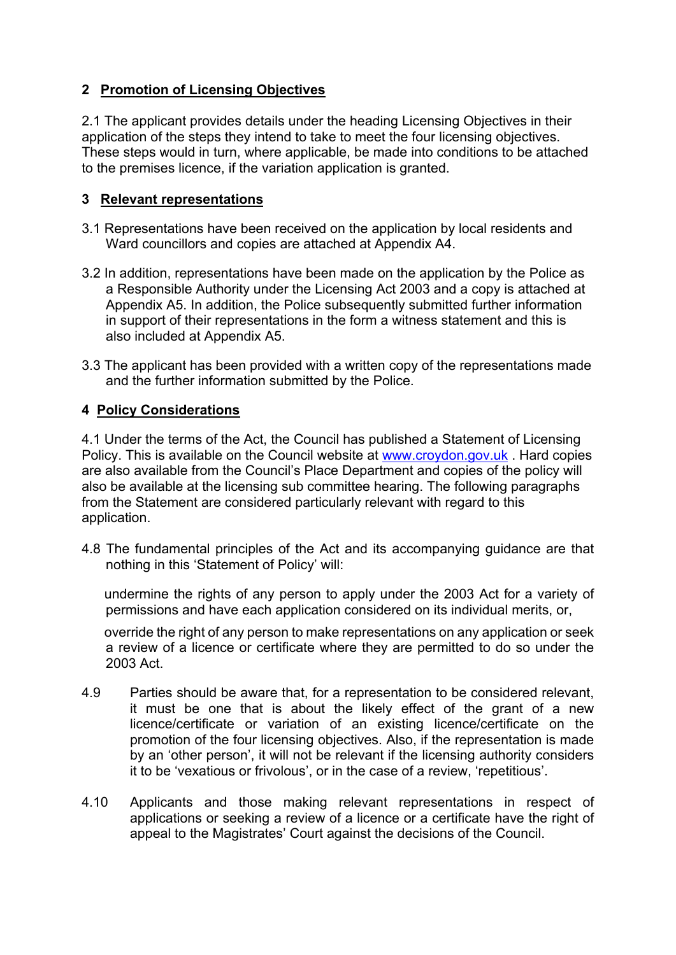# **2 Promotion of Licensing Objectives**

2.1 The applicant provides details under the heading Licensing Objectives in their application of the steps they intend to take to meet the four licensing objectives. These steps would in turn, where applicable, be made into conditions to be attached to the premises licence, if the variation application is granted.

# **3 Relevant representations**

- 3.1 Representations have been received on the application by local residents and Ward councillors and copies are attached at Appendix A4.
- 3.2 In addition, representations have been made on the application by the Police as a Responsible Authority under the Licensing Act 2003 and a copy is attached at Appendix A5. In addition, the Police subsequently submitted further information in support of their representations in the form a witness statement and this is also included at Appendix A5.
- 3.3 The applicant has been provided with a written copy of the representations made and the further information submitted by the Police.

# **4 Policy Considerations**

4.1 Under the terms of the Act, the Council has published a Statement of Licensing Policy. This is available on the Council website at [www.croydon.gov.uk](http://www.croydon.gov.uk/) . Hard copies are also available from the Council's Place Department and copies of the policy will also be available at the licensing sub committee hearing. The following paragraphs from the Statement are considered particularly relevant with regard to this application.

4.8 The fundamental principles of the Act and its accompanying guidance are that nothing in this 'Statement of Policy' will:

 undermine the rights of any person to apply under the 2003 Act for a variety of permissions and have each application considered on its individual merits, or,

 override the right of any person to make representations on any application or seek a review of a licence or certificate where they are permitted to do so under the 2003 Act.

- 4.9 Parties should be aware that, for a representation to be considered relevant, it must be one that is about the likely effect of the grant of a new licence/certificate or variation of an existing licence/certificate on the promotion of the four licensing objectives. Also, if the representation is made by an 'other person', it will not be relevant if the licensing authority considers it to be 'vexatious or frivolous', or in the case of a review, 'repetitious'.
- 4.10 Applicants and those making relevant representations in respect of applications or seeking a review of a licence or a certificate have the right of appeal to the Magistrates' Court against the decisions of the Council.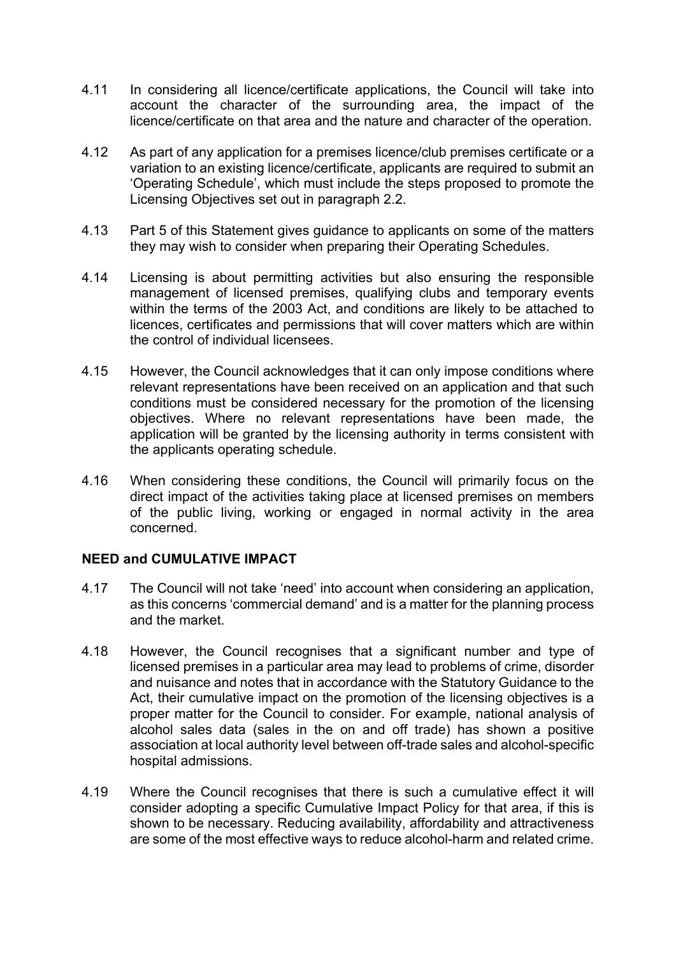- 4.11 In considering all licence/certificate applications, the Council will take into account the character of the surrounding area, the impact of the licence/certificate on that area and the nature and character of the operation.
- 4.12 As part of any application for a premises licence/club premises certificate or a variation to an existing licence/certificate, applicants are required to submit an 'Operating Schedule', which must include the steps proposed to promote the Licensing Objectives set out in paragraph 2.2.
- 4.13 Part 5 of this Statement gives guidance to applicants on some of the matters they may wish to consider when preparing their Operating Schedules.
- 4.14 Licensing is about permitting activities but also ensuring the responsible management of licensed premises, qualifying clubs and temporary events within the terms of the 2003 Act, and conditions are likely to be attached to licences, certificates and permissions that will cover matters which are within the control of individual licensees.
- 4.15 However, the Council acknowledges that it can only impose conditions where relevant representations have been received on an application and that such conditions must be considered necessary for the promotion of the licensing objectives. Where no relevant representations have been made, the application will be granted by the licensing authority in terms consistent with the applicants operating schedule.
- 4.16 When considering these conditions, the Council will primarily focus on the direct impact of the activities taking place at licensed premises on members of the public living, working or engaged in normal activity in the area concerned.

### **NEED and CUMULATIVE IMPACT**

- 4.17 The Council will not take 'need' into account when considering an application, as this concerns 'commercial demand' and is a matter for the planning process and the market.
- 4.18 However, the Council recognises that a significant number and type of licensed premises in a particular area may lead to problems of crime, disorder and nuisance and notes that in accordance with the Statutory Guidance to the Act, their cumulative impact on the promotion of the licensing objectives is a proper matter for the Council to consider. For example, national analysis of alcohol sales data (sales in the on and off trade) has shown a positive association at local authority level between off-trade sales and alcohol-specific hospital admissions.
- 4.19 Where the Council recognises that there is such a cumulative effect it will consider adopting a specific Cumulative Impact Policy for that area, if this is shown to be necessary. Reducing availability, affordability and attractiveness are some of the most effective ways to reduce alcohol-harm and related crime.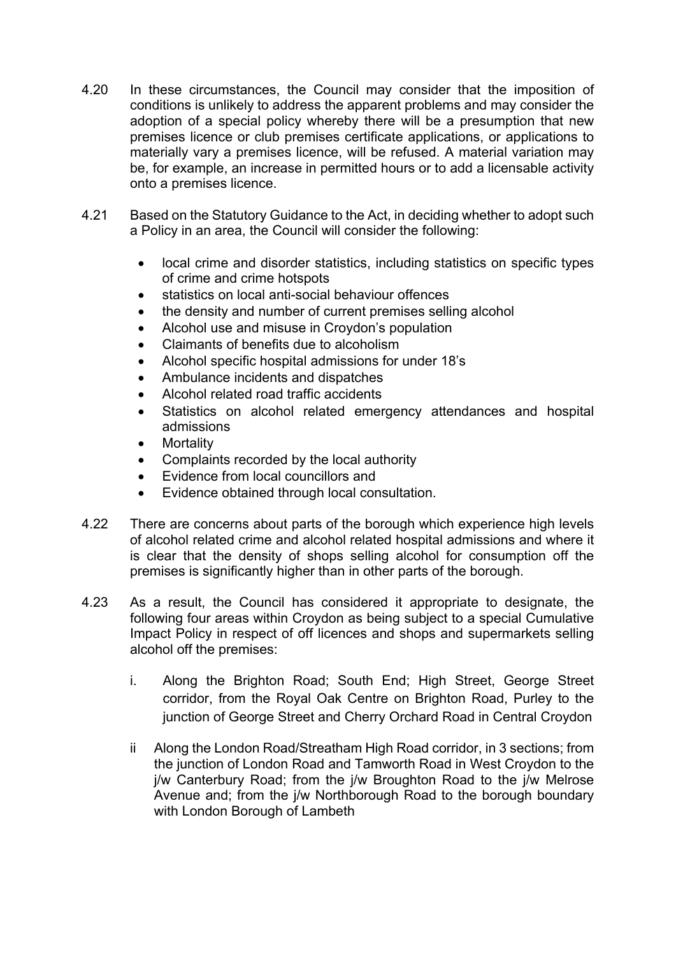- 4.20 In these circumstances, the Council may consider that the imposition of conditions is unlikely to address the apparent problems and may consider the adoption of a special policy whereby there will be a presumption that new premises licence or club premises certificate applications, or applications to materially vary a premises licence, will be refused. A material variation may be, for example, an increase in permitted hours or to add a licensable activity onto a premises licence.
- 4.21 Based on the Statutory Guidance to the Act, in deciding whether to adopt such a Policy in an area, the Council will consider the following:
	- local crime and disorder statistics, including statistics on specific types of crime and crime hotspots
	- statistics on local anti-social behaviour offences
	- the density and number of current premises selling alcohol
	- Alcohol use and misuse in Croydon's population
	- Claimants of benefits due to alcoholism
	- Alcohol specific hospital admissions for under 18's
	- Ambulance incidents and dispatches
	- Alcohol related road traffic accidents
	- Statistics on alcohol related emergency attendances and hospital admissions
	- **Mortality**
	- Complaints recorded by the local authority
	- Evidence from local councillors and
	- Evidence obtained through local consultation.
- 4.22 There are concerns about parts of the borough which experience high levels of alcohol related crime and alcohol related hospital admissions and where it is clear that the density of shops selling alcohol for consumption off the premises is significantly higher than in other parts of the borough.
- 4.23 As a result, the Council has considered it appropriate to designate, the following four areas within Croydon as being subject to a special Cumulative Impact Policy in respect of off licences and shops and supermarkets selling alcohol off the premises:
	- i. Along the Brighton Road; South End; High Street, George Street corridor, from the Royal Oak Centre on Brighton Road, Purley to the junction of George Street and Cherry Orchard Road in Central Croydon
	- ii Along the London Road/Streatham High Road corridor, in 3 sections; from the junction of London Road and Tamworth Road in West Croydon to the j/w Canterbury Road; from the j/w Broughton Road to the j/w Melrose Avenue and; from the j/w Northborough Road to the borough boundary with London Borough of Lambeth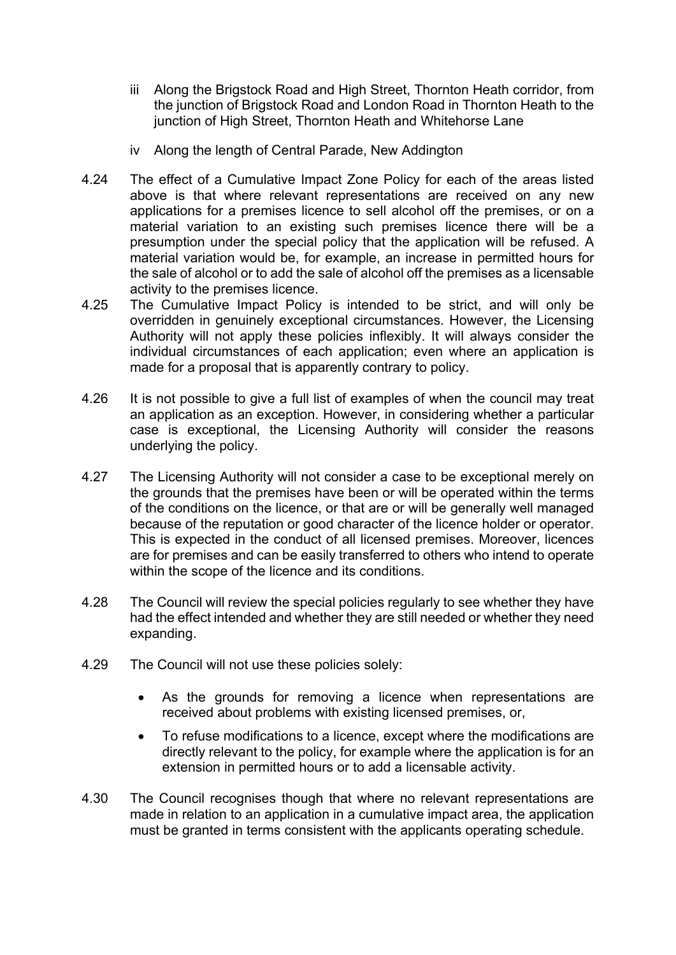- iii Along the Brigstock Road and High Street, Thornton Heath corridor, from the junction of Brigstock Road and London Road in Thornton Heath to the junction of High Street, Thornton Heath and Whitehorse Lane
- iv Along the length of Central Parade, New Addington
- 4.24 The effect of a Cumulative Impact Zone Policy for each of the areas listed above is that where relevant representations are received on any new applications for a premises licence to sell alcohol off the premises, or on a material variation to an existing such premises licence there will be a presumption under the special policy that the application will be refused. A material variation would be, for example, an increase in permitted hours for the sale of alcohol or to add the sale of alcohol off the premises as a licensable activity to the premises licence.
- 4.25 The Cumulative Impact Policy is intended to be strict, and will only be overridden in genuinely exceptional circumstances. However, the Licensing Authority will not apply these policies inflexibly. It will always consider the individual circumstances of each application; even where an application is made for a proposal that is apparently contrary to policy.
- 4.26 It is not possible to give a full list of examples of when the council may treat an application as an exception. However, in considering whether a particular case is exceptional, the Licensing Authority will consider the reasons underlying the policy.
- 4.27 The Licensing Authority will not consider a case to be exceptional merely on the grounds that the premises have been or will be operated within the terms of the conditions on the licence, or that are or will be generally well managed because of the reputation or good character of the licence holder or operator. This is expected in the conduct of all licensed premises. Moreover, licences are for premises and can be easily transferred to others who intend to operate within the scope of the licence and its conditions.
- 4.28 The Council will review the special policies regularly to see whether they have had the effect intended and whether they are still needed or whether they need expanding.
- 4.29 The Council will not use these policies solely:
	- As the grounds for removing a licence when representations are received about problems with existing licensed premises, or,
	- To refuse modifications to a licence, except where the modifications are directly relevant to the policy, for example where the application is for an extension in permitted hours or to add a licensable activity.
- 4.30 The Council recognises though that where no relevant representations are made in relation to an application in a cumulative impact area, the application must be granted in terms consistent with the applicants operating schedule.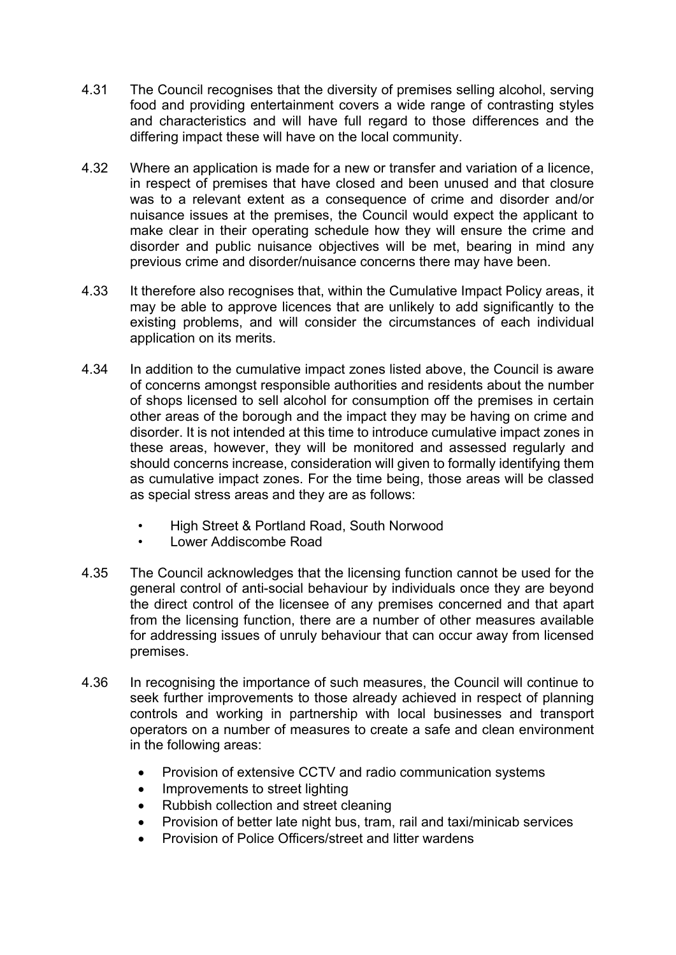- 4.31 The Council recognises that the diversity of premises selling alcohol, serving food and providing entertainment covers a wide range of contrasting styles and characteristics and will have full regard to those differences and the differing impact these will have on the local community.
- 4.32 Where an application is made for a new or transfer and variation of a licence, in respect of premises that have closed and been unused and that closure was to a relevant extent as a consequence of crime and disorder and/or nuisance issues at the premises, the Council would expect the applicant to make clear in their operating schedule how they will ensure the crime and disorder and public nuisance objectives will be met, bearing in mind any previous crime and disorder/nuisance concerns there may have been.
- 4.33 It therefore also recognises that, within the Cumulative Impact Policy areas, it may be able to approve licences that are unlikely to add significantly to the existing problems, and will consider the circumstances of each individual application on its merits.
- 4.34 In addition to the cumulative impact zones listed above, the Council is aware of concerns amongst responsible authorities and residents about the number of shops licensed to sell alcohol for consumption off the premises in certain other areas of the borough and the impact they may be having on crime and disorder. It is not intended at this time to introduce cumulative impact zones in these areas, however, they will be monitored and assessed regularly and should concerns increase, consideration will given to formally identifying them as cumulative impact zones. For the time being, those areas will be classed as special stress areas and they are as follows:
	- High Street & Portland Road, South Norwood<br>• Lower Addiscombe Road
	- Lower Addiscombe Road
- 4.35 The Council acknowledges that the licensing function cannot be used for the general control of anti-social behaviour by individuals once they are beyond the direct control of the licensee of any premises concerned and that apart from the licensing function, there are a number of other measures available for addressing issues of unruly behaviour that can occur away from licensed premises.
- 4.36 In recognising the importance of such measures, the Council will continue to seek further improvements to those already achieved in respect of planning controls and working in partnership with local businesses and transport operators on a number of measures to create a safe and clean environment in the following areas:
	- Provision of extensive CCTV and radio communication systems
	- Improvements to street lighting
	- Rubbish collection and street cleaning
	- Provision of better late night bus, tram, rail and taxi/minicab services
	- Provision of Police Officers/street and litter wardens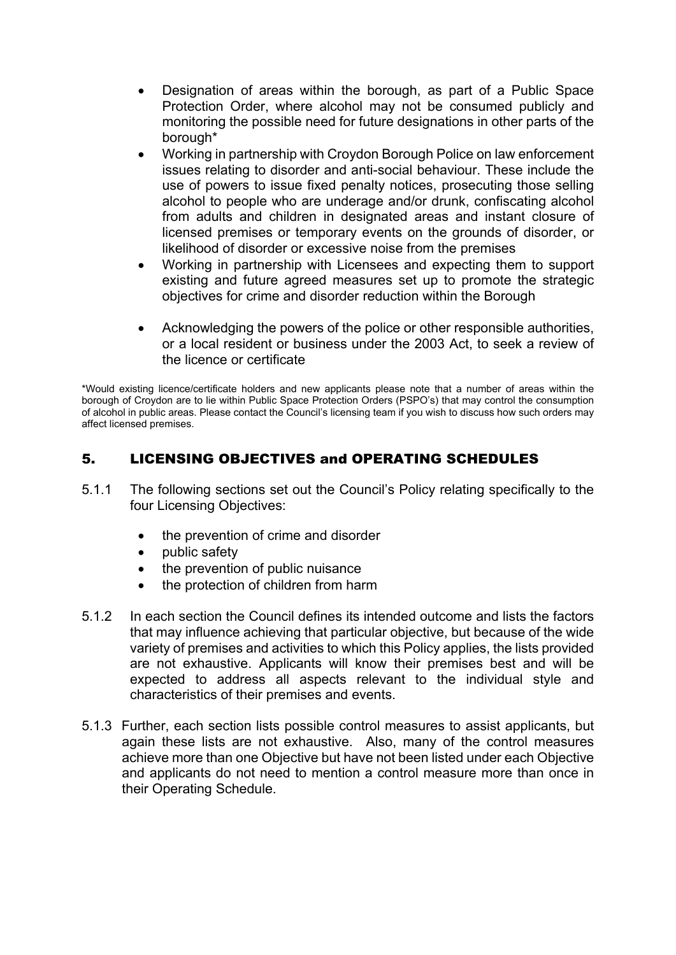- Designation of areas within the borough, as part of a Public Space Protection Order, where alcohol may not be consumed publicly and monitoring the possible need for future designations in other parts of the borough\*
- Working in partnership with Croydon Borough Police on law enforcement issues relating to disorder and anti-social behaviour. These include the use of powers to issue fixed penalty notices, prosecuting those selling alcohol to people who are underage and/or drunk, confiscating alcohol from adults and children in designated areas and instant closure of licensed premises or temporary events on the grounds of disorder, or likelihood of disorder or excessive noise from the premises
- Working in partnership with Licensees and expecting them to support existing and future agreed measures set up to promote the strategic objectives for crime and disorder reduction within the Borough
- Acknowledging the powers of the police or other responsible authorities, or a local resident or business under the 2003 Act, to seek a review of the licence or certificate

\*Would existing licence/certificate holders and new applicants please note that a number of areas within the borough of Croydon are to lie within Public Space Protection Orders (PSPO's) that may control the consumption of alcohol in public areas. Please contact the Council's licensing team if you wish to discuss how such orders may affect licensed premises.

# 5. LICENSING OBJECTIVES and OPERATING SCHEDULES

- 5.1.1 The following sections set out the Council's Policy relating specifically to the four Licensing Objectives:
	- the prevention of crime and disorder
	- public safety
	- the prevention of public nuisance
	- the protection of children from harm
- 5.1.2 In each section the Council defines its intended outcome and lists the factors that may influence achieving that particular objective, but because of the wide variety of premises and activities to which this Policy applies, the lists provided are not exhaustive. Applicants will know their premises best and will be expected to address all aspects relevant to the individual style and characteristics of their premises and events.
- 5.1.3 Further, each section lists possible control measures to assist applicants, but again these lists are not exhaustive. Also, many of the control measures achieve more than one Objective but have not been listed under each Objective and applicants do not need to mention a control measure more than once in their Operating Schedule.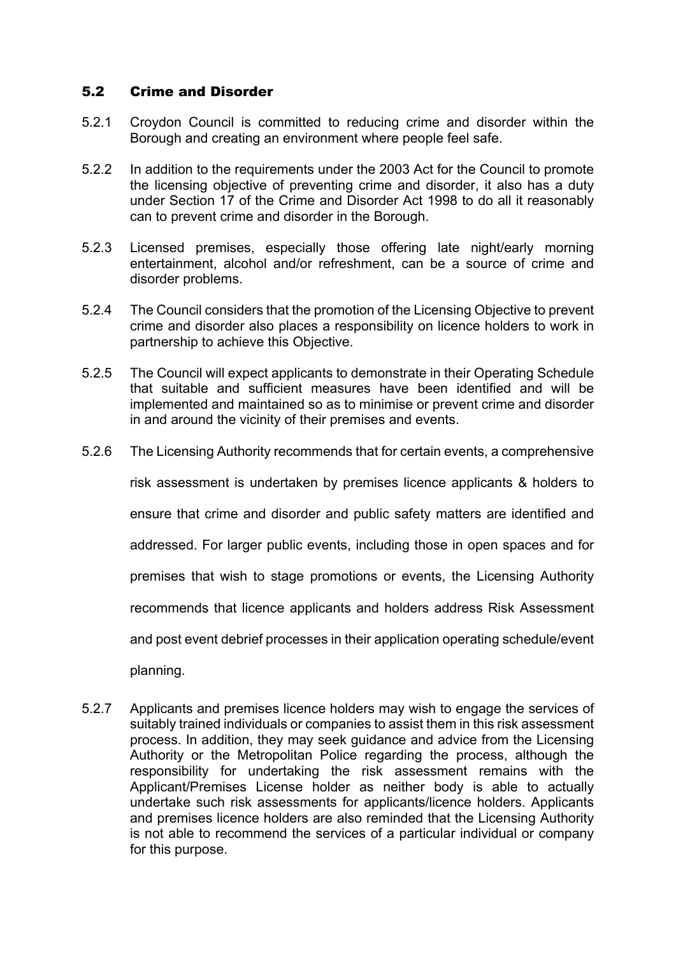### 5.2 Crime and Disorder

- 5.2.1 Croydon Council is committed to reducing crime and disorder within the Borough and creating an environment where people feel safe.
- 5.2.2 In addition to the requirements under the 2003 Act for the Council to promote the licensing objective of preventing crime and disorder, it also has a duty under Section 17 of the Crime and Disorder Act 1998 to do all it reasonably can to prevent crime and disorder in the Borough.
- 5.2.3 Licensed premises, especially those offering late night/early morning entertainment, alcohol and/or refreshment, can be a source of crime and disorder problems.
- 5.2.4 The Council considers that the promotion of the Licensing Objective to prevent crime and disorder also places a responsibility on licence holders to work in partnership to achieve this Objective.
- 5.2.5 The Council will expect applicants to demonstrate in their Operating Schedule that suitable and sufficient measures have been identified and will be implemented and maintained so as to minimise or prevent crime and disorder in and around the vicinity of their premises and events.
- 5.2.6 The Licensing Authority recommends that for certain events, a comprehensive

risk assessment is undertaken by premises licence applicants & holders to

ensure that crime and disorder and public safety matters are identified and

addressed. For larger public events, including those in open spaces and for

premises that wish to stage promotions or events, the Licensing Authority

recommends that licence applicants and holders address Risk Assessment

and post event debrief processes in their application operating schedule/event

planning.

5.2.7 Applicants and premises licence holders may wish to engage the services of suitably trained individuals or companies to assist them in this risk assessment process. In addition, they may seek guidance and advice from the Licensing Authority or the Metropolitan Police regarding the process, although the responsibility for undertaking the risk assessment remains with the Applicant/Premises License holder as neither body is able to actually undertake such risk assessments for applicants/licence holders. Applicants and premises licence holders are also reminded that the Licensing Authority is not able to recommend the services of a particular individual or company for this purpose.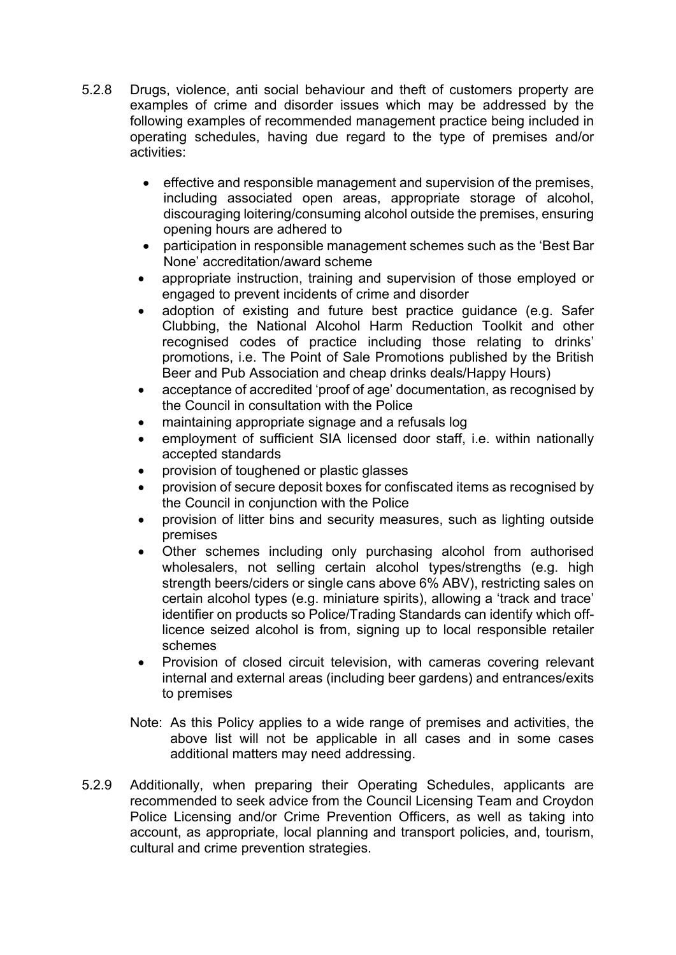- 5.2.8 Drugs, violence, anti social behaviour and theft of customers property are examples of crime and disorder issues which may be addressed by the following examples of recommended management practice being included in operating schedules, having due regard to the type of premises and/or activities:
	- effective and responsible management and supervision of the premises, including associated open areas, appropriate storage of alcohol, discouraging loitering/consuming alcohol outside the premises, ensuring opening hours are adhered to
	- participation in responsible management schemes such as the 'Best Bar None' accreditation/award scheme
	- appropriate instruction, training and supervision of those employed or engaged to prevent incidents of crime and disorder
	- adoption of existing and future best practice guidance (e.g. Safer Clubbing, the National Alcohol Harm Reduction Toolkit and other recognised codes of practice including those relating to drinks' promotions, i.e. The Point of Sale Promotions published by the British Beer and Pub Association and cheap drinks deals/Happy Hours)
	- acceptance of accredited 'proof of age' documentation, as recognised by the Council in consultation with the Police
	- maintaining appropriate signage and a refusals log
	- employment of sufficient SIA licensed door staff, i.e. within nationally accepted standards
	- provision of toughened or plastic glasses
	- provision of secure deposit boxes for confiscated items as recognised by the Council in conjunction with the Police
	- provision of litter bins and security measures, such as lighting outside premises
	- Other schemes including only purchasing alcohol from authorised wholesalers, not selling certain alcohol types/strengths (e.g. high strength beers/ciders or single cans above 6% ABV), restricting sales on certain alcohol types (e.g. miniature spirits), allowing a 'track and trace' identifier on products so Police/Trading Standards can identify which offlicence seized alcohol is from, signing up to local responsible retailer schemes
	- Provision of closed circuit television, with cameras covering relevant internal and external areas (including beer gardens) and entrances/exits to premises
	- Note: As this Policy applies to a wide range of premises and activities, the above list will not be applicable in all cases and in some cases additional matters may need addressing.
- 5.2.9 Additionally, when preparing their Operating Schedules, applicants are recommended to seek advice from the Council Licensing Team and Croydon Police Licensing and/or Crime Prevention Officers, as well as taking into account, as appropriate, local planning and transport policies, and, tourism, cultural and crime prevention strategies.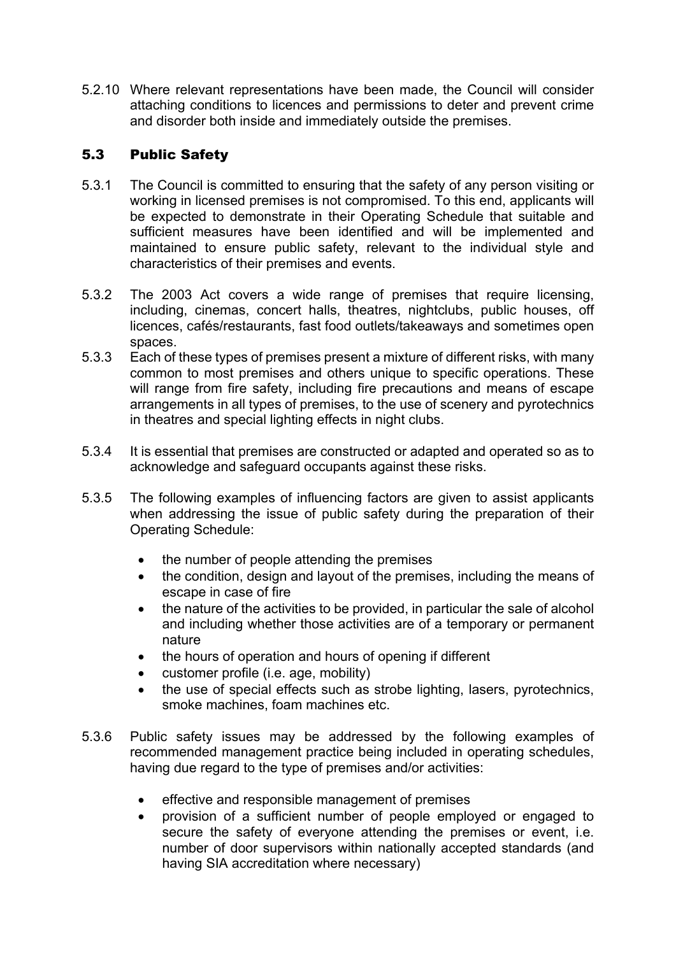5.2.10 Where relevant representations have been made, the Council will consider attaching conditions to licences and permissions to deter and prevent crime and disorder both inside and immediately outside the premises.

# 5.3 Public Safety

- 5.3.1 The Council is committed to ensuring that the safety of any person visiting or working in licensed premises is not compromised. To this end, applicants will be expected to demonstrate in their Operating Schedule that suitable and sufficient measures have been identified and will be implemented and maintained to ensure public safety, relevant to the individual style and characteristics of their premises and events.
- 5.3.2 The 2003 Act covers a wide range of premises that require licensing, including, cinemas, concert halls, theatres, nightclubs, public houses, off licences, cafés/restaurants, fast food outlets/takeaways and sometimes open spaces.
- 5.3.3 Each of these types of premises present a mixture of different risks, with many common to most premises and others unique to specific operations. These will range from fire safety, including fire precautions and means of escape arrangements in all types of premises, to the use of scenery and pyrotechnics in theatres and special lighting effects in night clubs.
- 5.3.4 It is essential that premises are constructed or adapted and operated so as to acknowledge and safeguard occupants against these risks.
- 5.3.5 The following examples of influencing factors are given to assist applicants when addressing the issue of public safety during the preparation of their Operating Schedule:
	- the number of people attending the premises
	- the condition, design and layout of the premises, including the means of escape in case of fire
	- the nature of the activities to be provided, in particular the sale of alcohol and including whether those activities are of a temporary or permanent nature
	- the hours of operation and hours of opening if different
	- customer profile (i.e. age, mobility)
	- the use of special effects such as strobe lighting, lasers, pyrotechnics, smoke machines, foam machines etc.
- 5.3.6 Public safety issues may be addressed by the following examples of recommended management practice being included in operating schedules, having due regard to the type of premises and/or activities:
	- effective and responsible management of premises
	- provision of a sufficient number of people employed or engaged to secure the safety of everyone attending the premises or event, i.e. number of door supervisors within nationally accepted standards (and having SIA accreditation where necessary)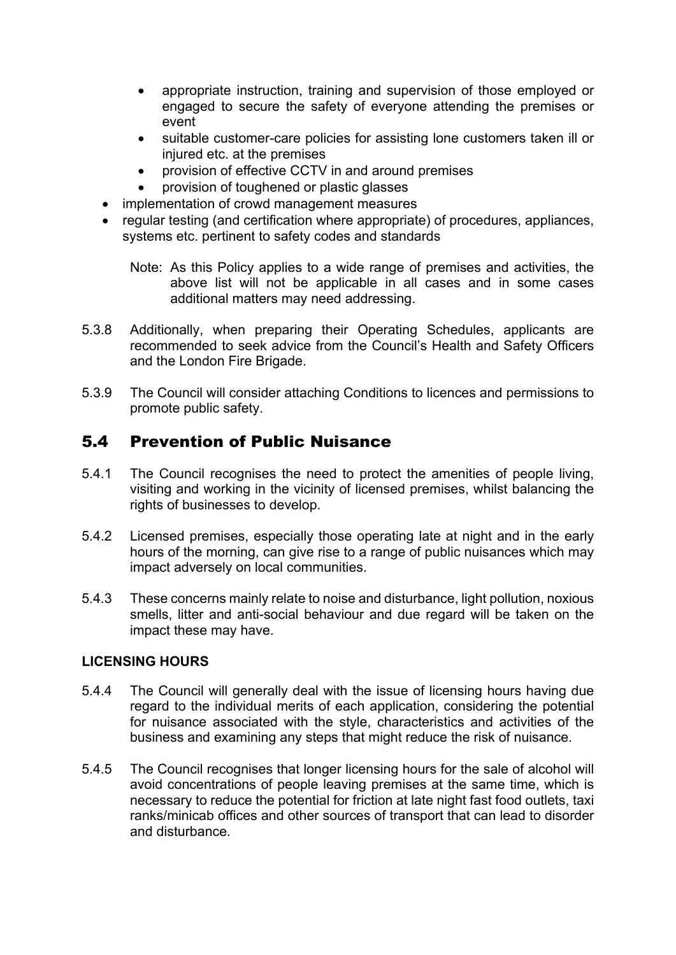- appropriate instruction, training and supervision of those employed or engaged to secure the safety of everyone attending the premises or event
- suitable customer-care policies for assisting lone customers taken ill or injured etc. at the premises
- provision of effective CCTV in and around premises
- provision of toughened or plastic glasses
- implementation of crowd management measures
- regular testing (and certification where appropriate) of procedures, appliances, systems etc. pertinent to safety codes and standards

Note: As this Policy applies to a wide range of premises and activities, the above list will not be applicable in all cases and in some cases additional matters may need addressing.

- 5.3.8 Additionally, when preparing their Operating Schedules, applicants are recommended to seek advice from the Council's Health and Safety Officers and the London Fire Brigade.
- 5.3.9 The Council will consider attaching Conditions to licences and permissions to promote public safety.

# 5.4 Prevention of Public Nuisance

- 5.4.1 The Council recognises the need to protect the amenities of people living, visiting and working in the vicinity of licensed premises, whilst balancing the rights of businesses to develop.
- 5.4.2 Licensed premises, especially those operating late at night and in the early hours of the morning, can give rise to a range of public nuisances which may impact adversely on local communities.
- 5.4.3 These concerns mainly relate to noise and disturbance, light pollution, noxious smells, litter and anti-social behaviour and due regard will be taken on the impact these may have.

### **LICENSING HOURS**

- 5.4.4 The Council will generally deal with the issue of licensing hours having due regard to the individual merits of each application, considering the potential for nuisance associated with the style, characteristics and activities of the business and examining any steps that might reduce the risk of nuisance.
- 5.4.5 The Council recognises that longer licensing hours for the sale of alcohol will avoid concentrations of people leaving premises at the same time, which is necessary to reduce the potential for friction at late night fast food outlets, taxi ranks/minicab offices and other sources of transport that can lead to disorder and disturbance.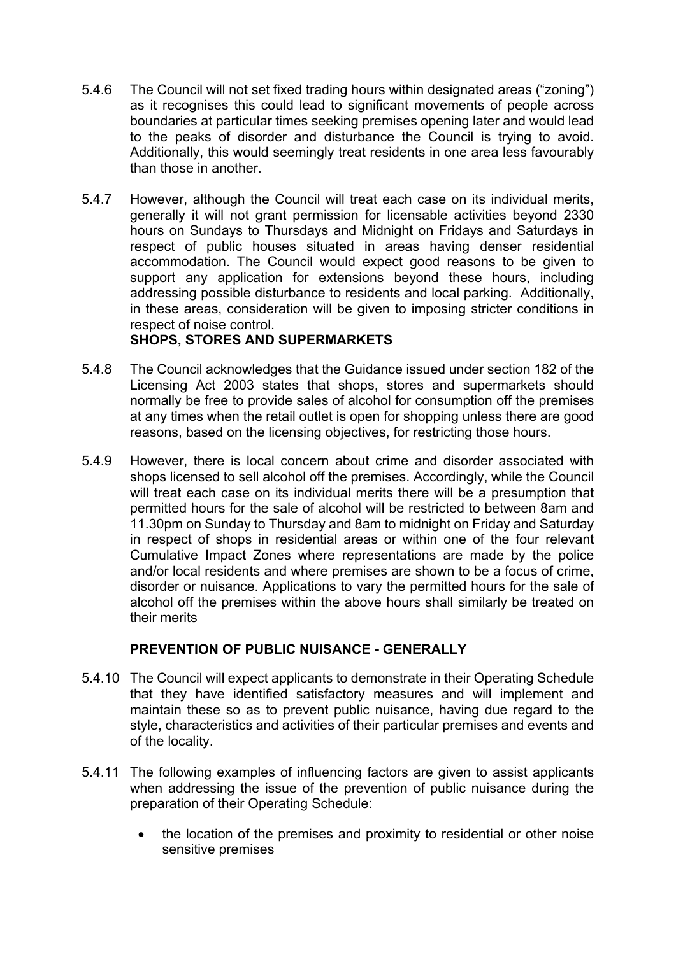- 5.4.6 The Council will not set fixed trading hours within designated areas ("zoning") as it recognises this could lead to significant movements of people across boundaries at particular times seeking premises opening later and would lead to the peaks of disorder and disturbance the Council is trying to avoid. Additionally, this would seemingly treat residents in one area less favourably than those in another.
- 5.4.7 However, although the Council will treat each case on its individual merits, generally it will not grant permission for licensable activities beyond 2330 hours on Sundays to Thursdays and Midnight on Fridays and Saturdays in respect of public houses situated in areas having denser residential accommodation. The Council would expect good reasons to be given to support any application for extensions beyond these hours, including addressing possible disturbance to residents and local parking. Additionally, in these areas, consideration will be given to imposing stricter conditions in respect of noise control.

# **SHOPS, STORES AND SUPERMARKETS**

- 5.4.8 The Council acknowledges that the Guidance issued under section 182 of the Licensing Act 2003 states that shops, stores and supermarkets should normally be free to provide sales of alcohol for consumption off the premises at any times when the retail outlet is open for shopping unless there are good reasons, based on the licensing objectives, for restricting those hours.
- 5.4.9 However, there is local concern about crime and disorder associated with shops licensed to sell alcohol off the premises. Accordingly, while the Council will treat each case on its individual merits there will be a presumption that permitted hours for the sale of alcohol will be restricted to between 8am and 11.30pm on Sunday to Thursday and 8am to midnight on Friday and Saturday in respect of shops in residential areas or within one of the four relevant Cumulative Impact Zones where representations are made by the police and/or local residents and where premises are shown to be a focus of crime, disorder or nuisance. Applications to vary the permitted hours for the sale of alcohol off the premises within the above hours shall similarly be treated on their merits

# **PREVENTION OF PUBLIC NUISANCE - GENERALLY**

- 5.4.10 The Council will expect applicants to demonstrate in their Operating Schedule that they have identified satisfactory measures and will implement and maintain these so as to prevent public nuisance, having due regard to the style, characteristics and activities of their particular premises and events and of the locality.
- 5.4.11 The following examples of influencing factors are given to assist applicants when addressing the issue of the prevention of public nuisance during the preparation of their Operating Schedule:
	- the location of the premises and proximity to residential or other noise sensitive premises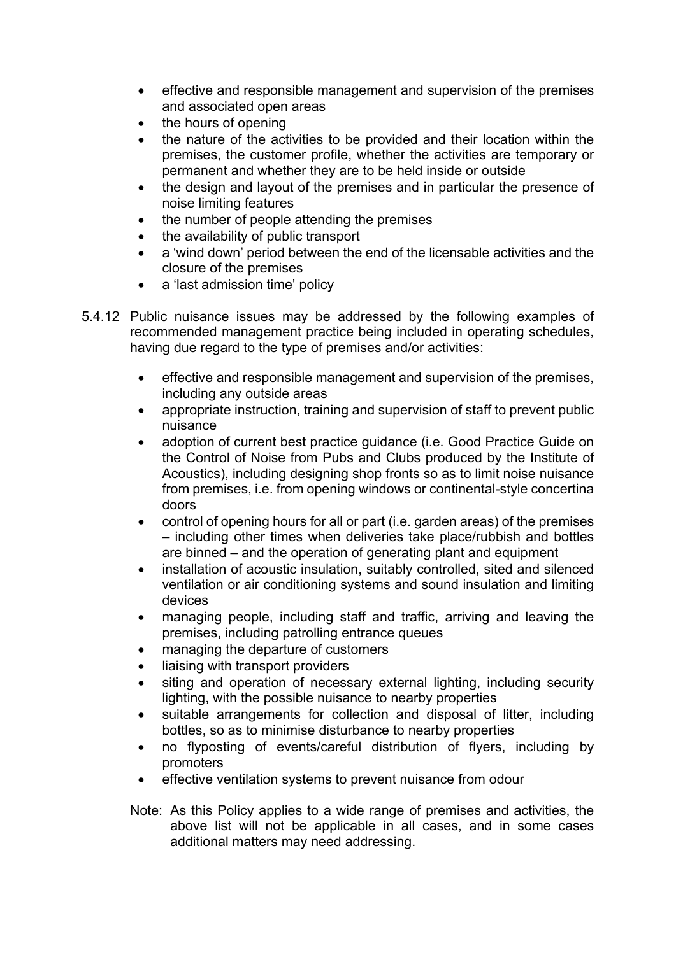- effective and responsible management and supervision of the premises and associated open areas
- the hours of opening
- the nature of the activities to be provided and their location within the premises, the customer profile, whether the activities are temporary or permanent and whether they are to be held inside or outside
- the design and layout of the premises and in particular the presence of noise limiting features
- the number of people attending the premises
- the availability of public transport
- a 'wind down' period between the end of the licensable activities and the closure of the premises
- a 'last admission time' policy
- 5.4.12 Public nuisance issues may be addressed by the following examples of recommended management practice being included in operating schedules, having due regard to the type of premises and/or activities:
	- effective and responsible management and supervision of the premises, including any outside areas
	- appropriate instruction, training and supervision of staff to prevent public nuisance
	- adoption of current best practice quidance (i.e. Good Practice Guide on the Control of Noise from Pubs and Clubs produced by the Institute of Acoustics), including designing shop fronts so as to limit noise nuisance from premises, i.e. from opening windows or continental-style concertina doors
	- control of opening hours for all or part (i.e. garden areas) of the premises – including other times when deliveries take place/rubbish and bottles are binned – and the operation of generating plant and equipment
	- installation of acoustic insulation, suitably controlled, sited and silenced ventilation or air conditioning systems and sound insulation and limiting devices
	- managing people, including staff and traffic, arriving and leaving the premises, including patrolling entrance queues
	- managing the departure of customers
	- liaising with transport providers
	- siting and operation of necessary external lighting, including security lighting, with the possible nuisance to nearby properties
	- suitable arrangements for collection and disposal of litter, including bottles, so as to minimise disturbance to nearby properties
	- no flyposting of events/careful distribution of flyers, including by promoters
	- effective ventilation systems to prevent nuisance from odour
	- Note: As this Policy applies to a wide range of premises and activities, the above list will not be applicable in all cases, and in some cases additional matters may need addressing.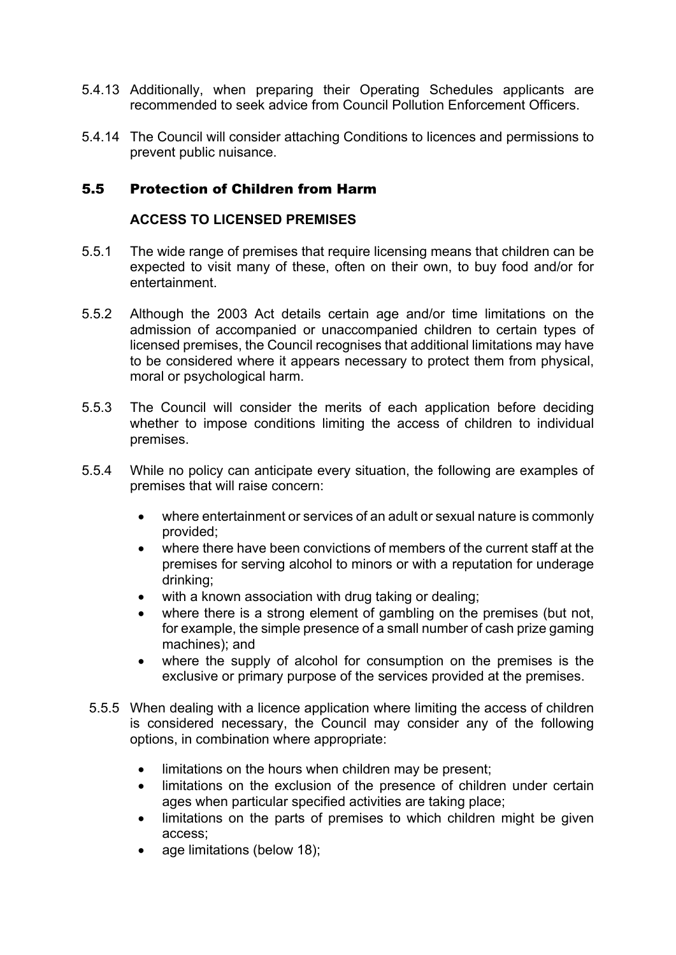- 5.4.13 Additionally, when preparing their Operating Schedules applicants are recommended to seek advice from Council Pollution Enforcement Officers.
- 5.4.14 The Council will consider attaching Conditions to licences and permissions to prevent public nuisance.

# 5.5 Protection of Children from Harm

### **ACCESS TO LICENSED PREMISES**

- 5.5.1 The wide range of premises that require licensing means that children can be expected to visit many of these, often on their own, to buy food and/or for entertainment.
- 5.5.2 Although the 2003 Act details certain age and/or time limitations on the admission of accompanied or unaccompanied children to certain types of licensed premises, the Council recognises that additional limitations may have to be considered where it appears necessary to protect them from physical, moral or psychological harm.
- 5.5.3 The Council will consider the merits of each application before deciding whether to impose conditions limiting the access of children to individual premises.
- 5.5.4 While no policy can anticipate every situation, the following are examples of premises that will raise concern:
	- where entertainment or services of an adult or sexual nature is commonly provided;
	- where there have been convictions of members of the current staff at the premises for serving alcohol to minors or with a reputation for underage drinking;
	- with a known association with drug taking or dealing;
	- where there is a strong element of gambling on the premises (but not, for example, the simple presence of a small number of cash prize gaming machines); and
	- where the supply of alcohol for consumption on the premises is the exclusive or primary purpose of the services provided at the premises.
	- 5.5.5 When dealing with a licence application where limiting the access of children is considered necessary, the Council may consider any of the following options, in combination where appropriate:
		- limitations on the hours when children may be present;
		- limitations on the exclusion of the presence of children under certain ages when particular specified activities are taking place;
		- limitations on the parts of premises to which children might be given access;
		- age limitations (below 18);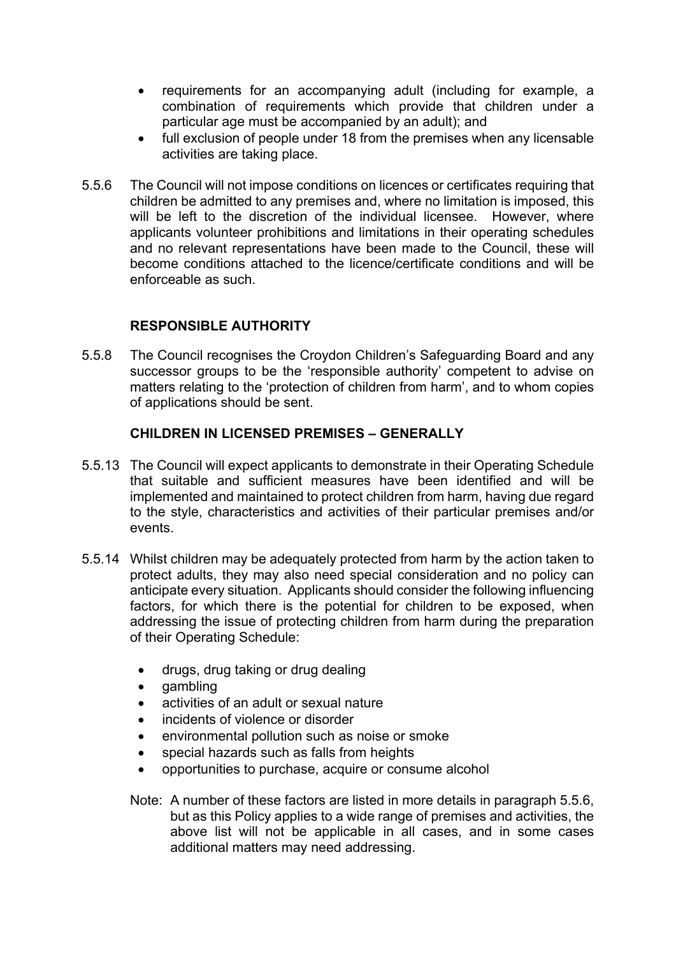- requirements for an accompanying adult (including for example, a combination of requirements which provide that children under a particular age must be accompanied by an adult); and
- full exclusion of people under 18 from the premises when any licensable activities are taking place.
- 5.5.6 The Council will not impose conditions on licences or certificates requiring that children be admitted to any premises and, where no limitation is imposed, this will be left to the discretion of the individual licensee. However, where applicants volunteer prohibitions and limitations in their operating schedules and no relevant representations have been made to the Council, these will become conditions attached to the licence/certificate conditions and will be enforceable as such.

### **RESPONSIBLE AUTHORITY**

5.5.8 The Council recognises the Croydon Children's Safeguarding Board and any successor groups to be the 'responsible authority' competent to advise on matters relating to the 'protection of children from harm', and to whom copies of applications should be sent.

### **CHILDREN IN LICENSED PREMISES – GENERALLY**

- 5.5.13 The Council will expect applicants to demonstrate in their Operating Schedule that suitable and sufficient measures have been identified and will be implemented and maintained to protect children from harm, having due regard to the style, characteristics and activities of their particular premises and/or events.
- 5.5.14 Whilst children may be adequately protected from harm by the action taken to protect adults, they may also need special consideration and no policy can anticipate every situation. Applicants should consider the following influencing factors, for which there is the potential for children to be exposed, when addressing the issue of protecting children from harm during the preparation of their Operating Schedule:
	- drugs, drug taking or drug dealing
	- gambling
	- activities of an adult or sexual nature
	- incidents of violence or disorder
	- environmental pollution such as noise or smoke
	- special hazards such as falls from heights
	- opportunities to purchase, acquire or consume alcohol
	- Note: A number of these factors are listed in more details in paragraph 5.5.6, but as this Policy applies to a wide range of premises and activities, the above list will not be applicable in all cases, and in some cases additional matters may need addressing.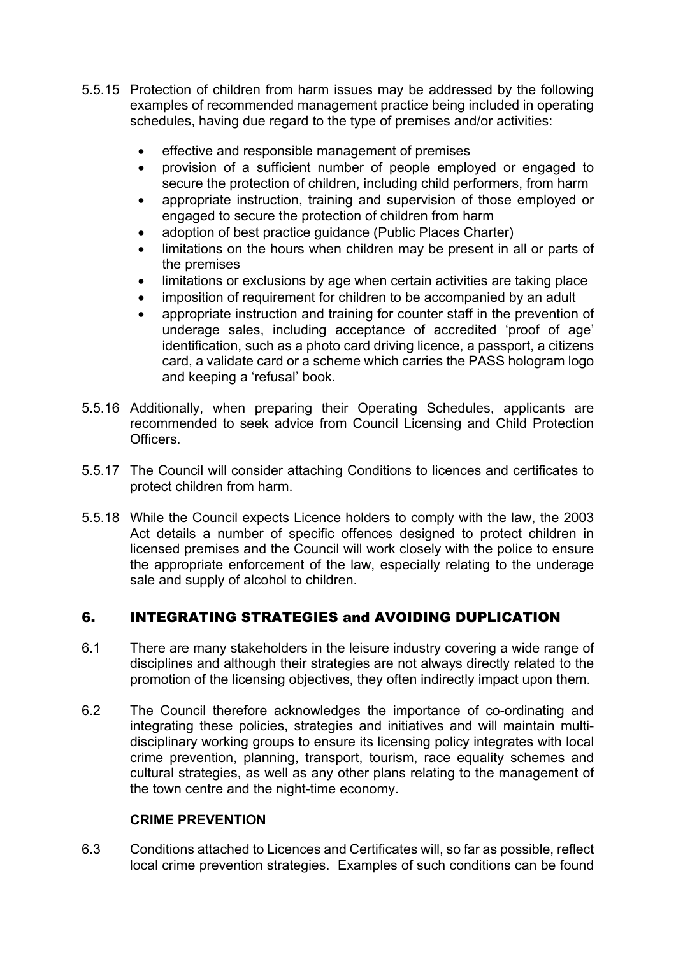- 5.5.15 Protection of children from harm issues may be addressed by the following examples of recommended management practice being included in operating schedules, having due regard to the type of premises and/or activities:
	- effective and responsible management of premises
	- provision of a sufficient number of people employed or engaged to secure the protection of children, including child performers, from harm
	- appropriate instruction, training and supervision of those employed or engaged to secure the protection of children from harm
	- adoption of best practice guidance (Public Places Charter)
	- limitations on the hours when children may be present in all or parts of the premises
	- limitations or exclusions by age when certain activities are taking place
	- imposition of requirement for children to be accompanied by an adult
	- appropriate instruction and training for counter staff in the prevention of underage sales, including acceptance of accredited 'proof of age' identification, such as a photo card driving licence, a passport, a citizens card, a validate card or a scheme which carries the PASS hologram logo and keeping a 'refusal' book.
- 5.5.16 Additionally, when preparing their Operating Schedules, applicants are recommended to seek advice from Council Licensing and Child Protection Officers.
- 5.5.17 The Council will consider attaching Conditions to licences and certificates to protect children from harm.
- 5.5.18 While the Council expects Licence holders to comply with the law, the 2003 Act details a number of specific offences designed to protect children in licensed premises and the Council will work closely with the police to ensure the appropriate enforcement of the law, especially relating to the underage sale and supply of alcohol to children.

# 6. INTEGRATING STRATEGIES and AVOIDING DUPLICATION

- 6.1 There are many stakeholders in the leisure industry covering a wide range of disciplines and although their strategies are not always directly related to the promotion of the licensing objectives, they often indirectly impact upon them.
- 6.2 The Council therefore acknowledges the importance of co-ordinating and integrating these policies, strategies and initiatives and will maintain multidisciplinary working groups to ensure its licensing policy integrates with local crime prevention, planning, transport, tourism, race equality schemes and cultural strategies, as well as any other plans relating to the management of the town centre and the night-time economy.

### **CRIME PREVENTION**

6.3 Conditions attached to Licences and Certificates will, so far as possible, reflect local crime prevention strategies. Examples of such conditions can be found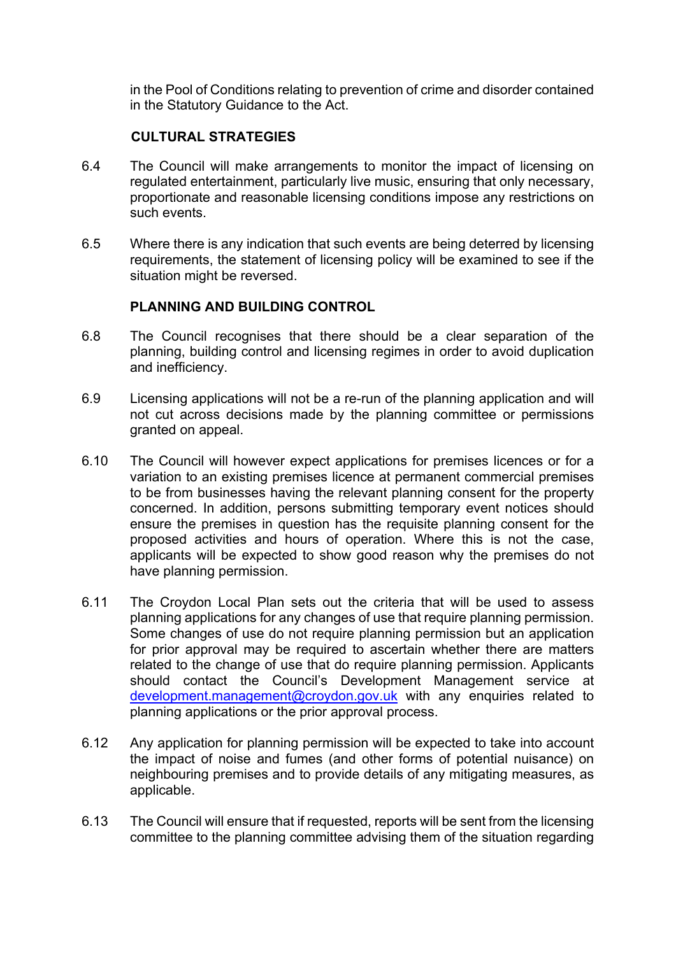in the Pool of Conditions relating to prevention of crime and disorder contained in the Statutory Guidance to the Act.

# **CULTURAL STRATEGIES**

- 6.4 The Council will make arrangements to monitor the impact of licensing on regulated entertainment, particularly live music, ensuring that only necessary, proportionate and reasonable licensing conditions impose any restrictions on such events.
- 6.5 Where there is any indication that such events are being deterred by licensing requirements, the statement of licensing policy will be examined to see if the situation might be reversed.

### **PLANNING AND BUILDING CONTROL**

- 6.8 The Council recognises that there should be a clear separation of the planning, building control and licensing regimes in order to avoid duplication and inefficiency.
- 6.9 Licensing applications will not be a re-run of the planning application and will not cut across decisions made by the planning committee or permissions granted on appeal.
- 6.10 The Council will however expect applications for premises licences or for a variation to an existing premises licence at permanent commercial premises to be from businesses having the relevant planning consent for the property concerned. In addition, persons submitting temporary event notices should ensure the premises in question has the requisite planning consent for the proposed activities and hours of operation. Where this is not the case, applicants will be expected to show good reason why the premises do not have planning permission.
- 6.11 The Croydon Local Plan sets out the criteria that will be used to assess planning applications for any changes of use that require planning permission. Some changes of use do not require planning permission but an application for prior approval may be required to ascertain whether there are matters related to the change of use that do require planning permission. Applicants should contact the Council's Development Management service at [development.management@croydon.gov.uk](mailto:development.management@croydon.gov.uk) with any enquiries related to planning applications or the prior approval process.
- 6.12 Any application for planning permission will be expected to take into account the impact of noise and fumes (and other forms of potential nuisance) on neighbouring premises and to provide details of any mitigating measures, as applicable.
- 6.13 The Council will ensure that if requested, reports will be sent from the licensing committee to the planning committee advising them of the situation regarding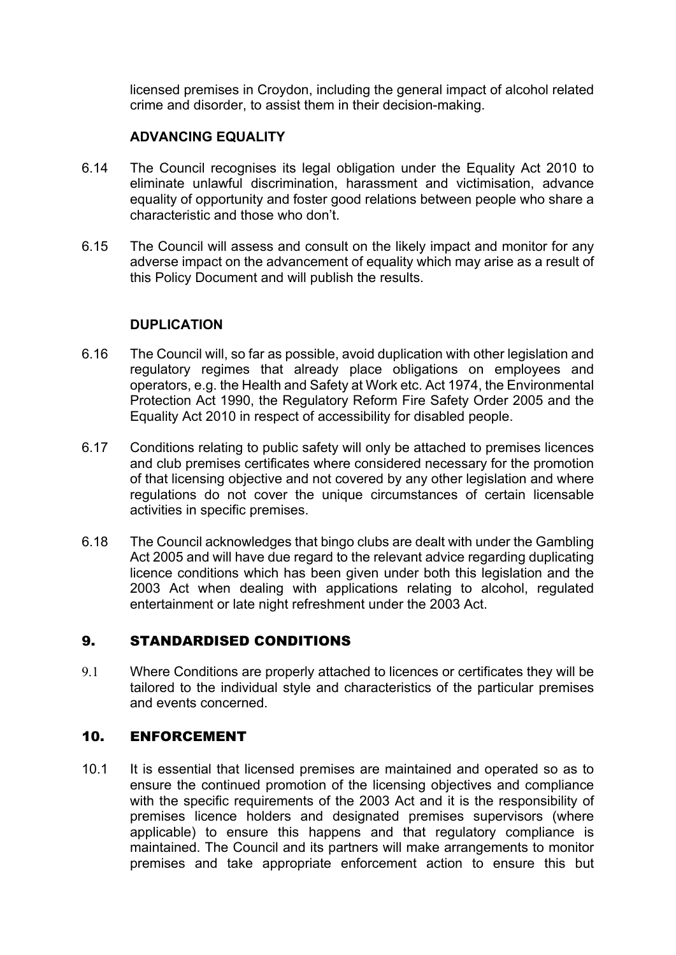licensed premises in Croydon, including the general impact of alcohol related crime and disorder, to assist them in their decision-making.

# **ADVANCING EQUALITY**

- 6.14 The Council recognises its legal obligation under the Equality Act 2010 to eliminate unlawful discrimination, harassment and victimisation, advance equality of opportunity and foster good relations between people who share a characteristic and those who don't.
- 6.15 The Council will assess and consult on the likely impact and monitor for any adverse impact on the advancement of equality which may arise as a result of this Policy Document and will publish the results.

### **DUPLICATION**

- 6.16 The Council will, so far as possible, avoid duplication with other legislation and regulatory regimes that already place obligations on employees and operators, e.g. the Health and Safety at Work etc. Act 1974, the Environmental Protection Act 1990, the Regulatory Reform Fire Safety Order 2005 and the Equality Act 2010 in respect of accessibility for disabled people.
- 6.17 Conditions relating to public safety will only be attached to premises licences and club premises certificates where considered necessary for the promotion of that licensing objective and not covered by any other legislation and where regulations do not cover the unique circumstances of certain licensable activities in specific premises.
- 6.18 The Council acknowledges that bingo clubs are dealt with under the Gambling Act 2005 and will have due regard to the relevant advice regarding duplicating licence conditions which has been given under both this legislation and the 2003 Act when dealing with applications relating to alcohol, regulated entertainment or late night refreshment under the 2003 Act.

# 9. STANDARDISED CONDITIONS

9.1 Where Conditions are properly attached to licences or certificates they will be tailored to the individual style and characteristics of the particular premises and events concerned.

# 10. ENFORCEMENT

10.1 It is essential that licensed premises are maintained and operated so as to ensure the continued promotion of the licensing objectives and compliance with the specific requirements of the 2003 Act and it is the responsibility of premises licence holders and designated premises supervisors (where applicable) to ensure this happens and that regulatory compliance is maintained. The Council and its partners will make arrangements to monitor premises and take appropriate enforcement action to ensure this but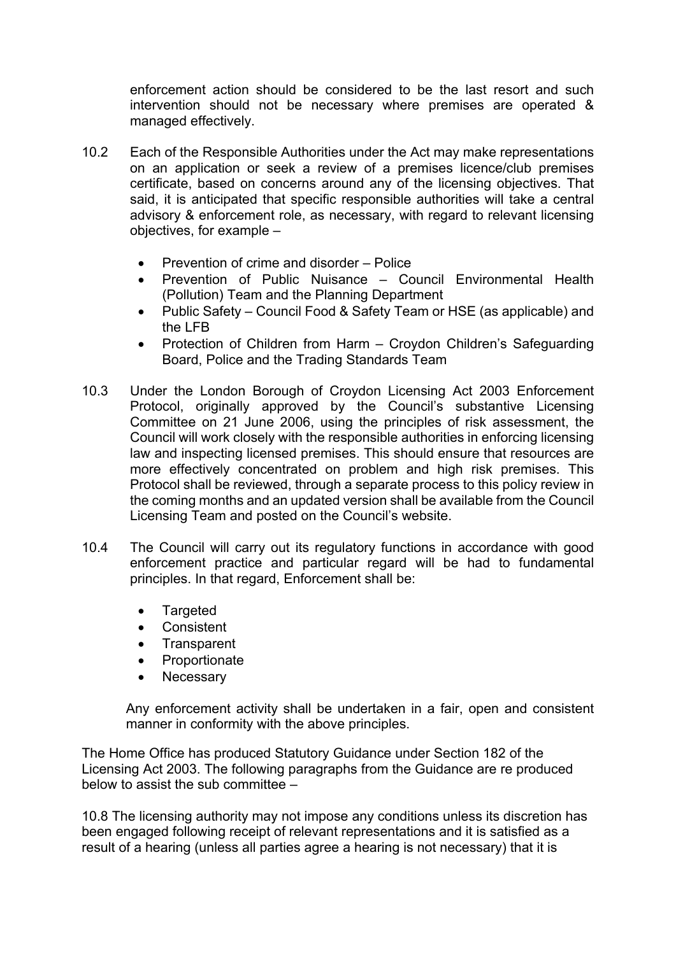enforcement action should be considered to be the last resort and such intervention should not be necessary where premises are operated & managed effectively.

- 10.2 Each of the Responsible Authorities under the Act may make representations on an application or seek a review of a premises licence/club premises certificate, based on concerns around any of the licensing objectives. That said, it is anticipated that specific responsible authorities will take a central advisory & enforcement role, as necessary, with regard to relevant licensing objectives, for example –
	- Prevention of crime and disorder Police
	- Prevention of Public Nuisance Council Environmental Health (Pollution) Team and the Planning Department
	- Public Safety Council Food & Safety Team or HSE (as applicable) and the LFB
	- Protection of Children from Harm Croydon Children's Safeguarding Board, Police and the Trading Standards Team
- 10.3 Under the London Borough of Croydon Licensing Act 2003 Enforcement Protocol, originally approved by the Council's substantive Licensing Committee on 21 June 2006, using the principles of risk assessment, the Council will work closely with the responsible authorities in enforcing licensing law and inspecting licensed premises. This should ensure that resources are more effectively concentrated on problem and high risk premises. This Protocol shall be reviewed, through a separate process to this policy review in the coming months and an updated version shall be available from the Council Licensing Team and posted on the Council's website.
- 10.4 The Council will carry out its regulatory functions in accordance with good enforcement practice and particular regard will be had to fundamental principles. In that regard, Enforcement shall be:
	- Targeted
	- **•** Consistent
	- Transparent
	- Proportionate
	- Necessary

Any enforcement activity shall be undertaken in a fair, open and consistent manner in conformity with the above principles.

The Home Office has produced Statutory Guidance under Section 182 of the Licensing Act 2003. The following paragraphs from the Guidance are re produced below to assist the sub committee  $-$ 

10.8 The licensing authority may not impose any conditions unless its discretion has been engaged following receipt of relevant representations and it is satisfied as a result of a hearing (unless all parties agree a hearing is not necessary) that it is